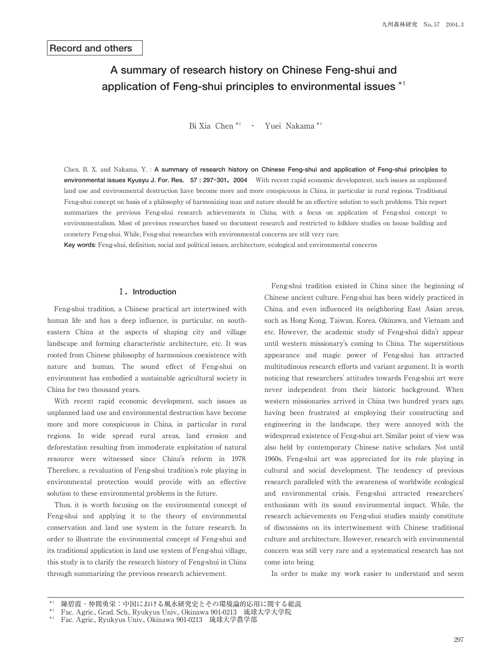# **A summary of research history on Chinese Feng-shui and application of Feng-shui principles to environmental issues \*1**

Bi Xia Chen \*<sup>2</sup> · Yuei Nakama \*<sup>3</sup>

Chen, B. X. and Nakama, Y. : **A summary of research history on Chinese Feng-shui and application of Feng-shui principles to environmental issues Kyusyu J. For. Res. 57 : 297-301,2004** With recent rapid economic development, such issues as unplanned land use and environmental destruction have become more and more conspicuous in China, in particular in rural regions. Traditional Feng-shui concept on basis of a philosophy of harmonizing man and nature should be an effective solution to such problems. This report summarizes the previous Feng-shui research achievements in China, with a focus on application of Feng-shui concept to environmentalism. Most of previous researches based on document research and restricted to folklore studies on house building and cemetery Feng-shui. While, Feng-shui researches with environmental concerns are still very rare.

**Key words**: Feng-shui, definition, social and political issues, architecture, ecological and environmental concerns

#### **Ⅰ.Introduction**

 Feng-shui tradition, a Chinese practical art intertwined with human life and has a deep influence, in particular, on southeastern China at the aspects of shaping city and village landscape and forming characteristic architecture, etc. It was rooted from Chinese philosophy of harmonious coexistence with nature and human. The sound effect of Feng-shui on environment has embodied a sustainable agricultural society in China for two thousand years.

 With recent rapid economic development, such issues as unplanned land use and environmental destruction have become more and more conspicuous in China, in particular in rural regions. In wide spread rural areas, land erosion and deforestation resulting from immoderate exploitation of natural resource were witnessed since China's reform in 1978. Therefore, a revaluation of Feng-shui tradition's role playing in environmental protection would provide with an effective solution to these environmental problems in the future.

 Thus, it is worth focusing on the environmental concept of Feng-shui and applying it to the theory of environmental conservation and land use system in the future research. In order to illustrate the environmental concept of Feng-shui and its traditional application in land use system of Feng-shui village, this study is to clarify the research history of Feng-shui in China through summarizing the previous research achievement.

 Feng-shui tradition existed in China since the beginning of Chinese ancient culture. Feng-shui has been widely practiced in China, and even influenced its neighboring East Asian areas, such as Hong Kong, Taiwan, Korea, Okinawa, and Vietnam and etc. However, the academic study of Feng-shui didn't appear until western missionary's coming to China. The superstitious appearance and magic power of Feng-shui has attracted multitudinous research efforts and variant argument. It is worth noticing that researchers' attitudes towards Feng-shui art were never independent from their historic background. When western missionaries arrived in China two hundred years ago, having been frustrated at employing their constructing and engineering in the landscape, they were annoyed with the widespread existence of Feng-shui art. Similar point of view was also held by contemporary Chinese native scholars. Not until 1960s, Feng-shui art was appreciated for its role playing in cultural and social development. The tendency of previous research paralleled with the awareness of worldwide ecological and environmental crisis. Feng-shui attracted researchers' enthusiasm with its sound environmental impact. While, the research achievements on Feng-shui studies mainly constitute of discussions on its intertwinement with Chinese traditional culture and architecture. However, research with environmental concern was still very rare and a systematical research has not come into being.

In order to make my work easier to understand and seem

陳碧霞・仲間勇栄:中国における風水研究史とその環境論的応用に関する総説

Fac. Agric., Grad. Sch., Ryukyus Univ., Okinawa 901-0213 琉球大学大学院

Fac. Agric., Ryukyus Univ., Okinawa 901-0213 琉球大学農学部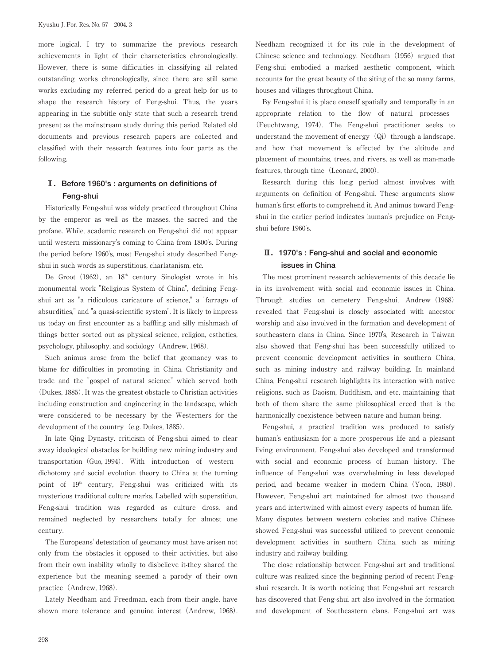more logical, I try to summarize the previous research achievements in light of their characteristics chronologically. However, there is some difficulties in classifying all related outstanding works chronologically, since there are still some works excluding my referred period do a great help for us to shape the research history of Feng-shui. Thus, the years appearing in the subtitle only state that such a research trend present as the mainstream study during this period. Related old documents and previous research papers are collected and classified with their research features into four parts as the following.

### **Ⅱ.Before 1960's : arguments on definitions of Feng-shui**

 Historically Feng-shui was widely practiced throughout China by the emperor as well as the masses, the sacred and the profane. While, academic research on Feng-shui did not appear until western missionary's coming to China from 1800's. During the period before 1960's, most Feng-shui study described Fengshui in such words as superstitious, charlatanism, etc.

De Groot  $(1962)$ , an  $18<sup>th</sup>$  century Sinologist wrote in his monumental work "Religious System of China", defining Fengshui art as "a ridiculous caricature of science," a "farrago of absurdities," and "a quasi-scientific system". It is likely to impress us today on first encounter as a baffling and silly mishmash of things better sorted out as physical science, religion, esthetics, psychology, philosophy, and sociology(Andrew, 1968).

 Such animus arose from the belief that geomancy was to blame for difficulties in promoting, in China, Christianity and trade and the "gospel of natural science" which served both (Dukes, 1885). It was the greatest obstacle to Christian activities including construction and engineering in the landscape, which were considered to be necessary by the Westerners for the development of the country (e.g. Dukes, 1885).

 In late Qing Dynasty, criticism of Feng-shui aimed to clear away ideological obstacles for building new mining industry and transportation(Guo, 1994). With introduction of western dichotomy and social evolution theory to China at the turning point of 19<sup>th</sup> century, Feng-shui was criticized with its mysterious traditional culture marks. Labelled with superstition, Feng-shui tradition was regarded as culture dross, and remained neglected by researchers totally for almost one century.

 The Europeans' detestation of geomancy must have arisen not only from the obstacles it opposed to their activities, but also from their own inability wholly to disbelieve it-they shared the experience but the meaning seemed a parody of their own practice (Andrew, 1968).

 Lately Needham and Freedman, each from their angle, have shown more tolerance and genuine interest (Andrew, 1968).

Needham recognized it for its role in the development of Chinese science and technology. Needham (1956) argued that Feng-shui embodied a marked aesthetic component, which accounts for the great beauty of the siting of the so many farms, houses and villages throughout China.

 By Feng-shui it is place oneself spatially and temporally in an appropriate relation to the flow of natural processes (Feuchtwang, 1974). The Feng-shui practitioner seeks to understand the movement of energy  $(Qi)$  through a landscape, and how that movement is effected by the altitude and placement of mountains, trees, and rivers, as well as man-made features, through time (Leonard, 2000).

 Research during this long period almost involves with arguments on definition of Feng-shui. These arguments show human's first efforts to comprehend it. And animus toward Fengshui in the earlier period indicates human's prejudice on Fengshui before 1960's.

#### **Ⅲ.1970's : Feng-shui and social and economic issues in China**

 The most prominent research achievements of this decade lie in its involvement with social and economic issues in China. Through studies on cemetery Feng-shui, Andrew (1968) revealed that Feng-shui is closely associated with ancestor worship and also involved in the formation and development of southeastern clans in China. Since 1970's, Research in Taiwan also showed that Feng-shui has been successfully utilized to prevent economic development activities in southern China, such as mining industry and railway building. In mainland China, Feng-shui research highlights its interaction with native religions, such as Daoism, Buddhism, and etc, maintaining that both of them share the same philosophical creed that is the harmonically coexistence between nature and human being.

 Feng-shui, a practical tradition was produced to satisfy human's enthusiasm for a more prosperous life and a pleasant living environment. Feng-shui also developed and transformed with social and economic process of human history. The influence of Feng-shui was overwhelming in less developed period, and became weaker in modern China(Yoon, 1980). However, Feng-shui art maintained for almost two thousand years and intertwined with almost every aspects of human life. Many disputes between western colonies and native Chinese showed Feng-shui was successful utilized to prevent economic development activities in southern China, such as mining industry and railway building.

 The close relationship between Feng-shui art and traditional culture was realized since the beginning period of recent Fengshui research. It is worth noticing that Feng-shui art research has discovered that Feng-shui art also involved in the formation and development of Southeastern clans. Feng-shui art was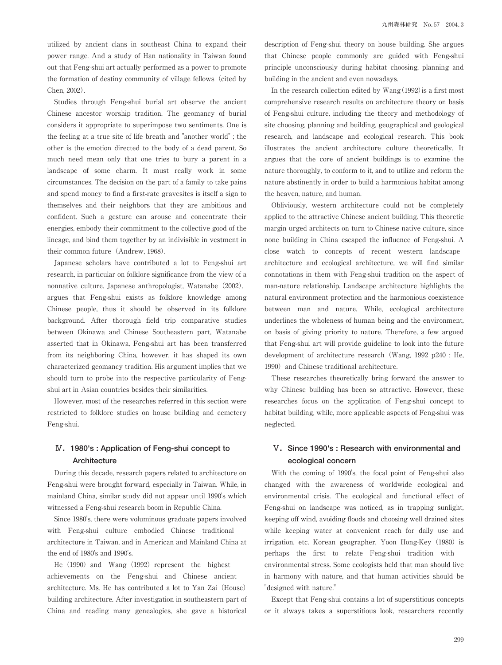utilized by ancient clans in southeast China to expand their power range. And a study of Han nationality in Taiwan found out that Feng-shui art actually performed as a power to promote the formation of destiny community of village fellows (cited by Chen, 2002).

 Studies through Feng-shui burial art observe the ancient Chinese ancestor worship tradition. The geomancy of burial considers it appropriate to superimpose two sentiments. One is the feeling at a true site of life breath and "another world" ; the other is the emotion directed to the body of a dead parent. So much need mean only that one tries to bury a parent in a landscape of some charm. It must really work in some circumstances. The decision on the part of a family to take pains and spend money to find a first-rate gravesites is itself a sign to themselves and their neighbors that they are ambitious and confident. Such a gesture can arouse and concentrate their energies, embody their commitment to the collective good of the lineage, and bind them together by an indivisible in vestment in their common future (Andrew, 1968).

 Japanese scholars have contributed a lot to Feng-shui art research, in particular on folklore significance from the view of a nonnative culture. Japanese anthropologist, Watanabe (2002). argues that Feng-shui exists as folklore knowledge among Chinese people, thus it should be observed in its folklore background. After thorough field trip comparative studies between Okinawa and Chinese Southeastern part, Watanabe asserted that in Okinawa, Feng-shui art has been transferred from its neighboring China, however, it has shaped its own characterized geomancy tradition. His argument implies that we should turn to probe into the respective particularity of Fengshui art in Asian countries besides their similarities.

 However, most of the researches referred in this section were restricted to folklore studies on house building and cemetery Feng-shui.

#### **Ⅳ.1980's : Application of Feng-shui concept to Architecture**

 During this decade, research papers related to architecture on Feng-shui were brought forward, especially in Taiwan. While, in mainland China, similar study did not appear until 1990's which witnessed a Feng-shui research boom in Republic China.

 Since 1980's, there were voluminous graduate papers involved with Feng-shui culture embodied Chinese traditional architecture in Taiwan, and in American and Mainland China at the end of 1980's and 1990's.

He  $(1990)$  and Wang  $(1992)$  represent the highest achievements on the Feng-shui and Chinese ancient architecture. Ms. He has contributed a lot to Yan Zai(House) building architecture. After investigation in southeastern part of China and reading many genealogies, she gave a historical description of Feng-shui theory on house building. She argues that Chinese people commonly are guided with Feng-shui principle unconsciously during habitat choosing, planning and building in the ancient and even nowadays.

In the research collection edited by  $Wang(1992)$  is a first most comprehensive research results on architecture theory on basis of Feng-shui culture, including the theory and methodology of site choosing, planning and building, geographical and geological research, and landscape and ecological research. This book illustrates the ancient architecture culture theoretically. It argues that the core of ancient buildings is to examine the nature thoroughly, to conform to it, and to utilize and reform the nature abstinently in order to build a harmonious habitat among the heaven, nature, and human.

 Obliviously, western architecture could not be completely applied to the attractive Chinese ancient building. This theoretic margin urged architects on turn to Chinese native culture, since none building in China escaped the influence of Feng-shui. A close watch to concepts of recent western landscape architecture and ecological architecture, we will find similar connotations in them with Feng-shui tradition on the aspect of man-nature relationship. Landscape architecture highlights the natural environment protection and the harmonious coexistence between man and nature. While, ecological architecture underlines the wholeness of human being and the environment, on basis of giving priority to nature. Therefore, a few argued that Feng-shui art will provide guideline to look into the future development of architecture research (Wang, 1992 p240 ; He, 1990) and Chinese traditional architecture.

 These researches theoretically bring forward the answer to why Chinese building has been so attractive. However, these researches focus on the application of Feng-shui concept to habitat building, while, more applicable aspects of Feng-shui was neglected.

## **Ⅴ.Since 1990's : Research with environmental and ecological concern**

 With the coming of 1990's, the focal point of Feng-shui also changed with the awareness of worldwide ecological and environmental crisis. The ecological and functional effect of Feng-shui on landscape was noticed, as in trapping sunlight, keeping off wind, avoiding floods and choosing well drained sites while keeping water at convenient reach for daily use and irrigation, etc. Korean geographer, Yoon Hong-Key (1980) is perhaps the first to relate Feng-shui tradition with environmental stress. Some ecologists held that man should live in harmony with nature, and that human activities should be "designed with nature."

 Except that Feng-shui contains a lot of superstitious concepts or it always takes a superstitious look, researchers recently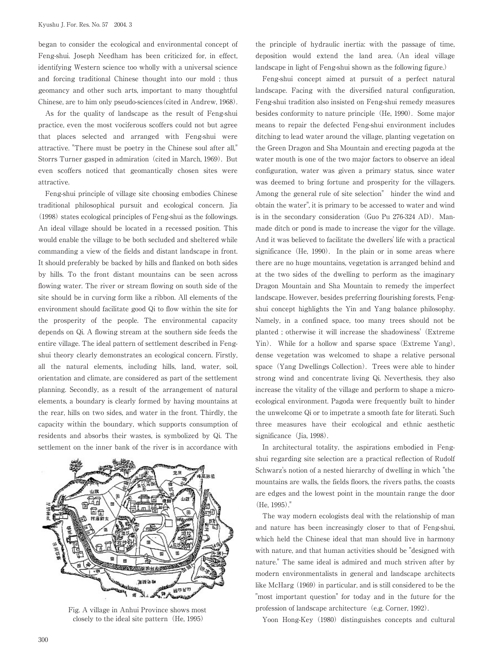began to consider the ecological and environmental concept of Feng-shui. Joseph Needham has been criticized for, in effect, identifying Western science too wholly with a universal science and forcing traditional Chinese thought into our mold ; thus geomancy and other such arts, important to many thoughtful Chinese, are to him only pseudo-sciences(cited in Andrew, 1968).

 As for the quality of landscape as the result of Feng-shui practice, even the most vociferous scoffers could not but agree that places selected and arranged with Feng-shui were attractive. "There must be poetry in the Chinese soul after all," Storrs Turner gasped in admiration (cited in March, 1969). But even scoffers noticed that geomantically chosen sites were attractive.

 Feng-shui principle of village site choosing embodies Chinese traditional philosophical pursuit and ecological concern. Jia  $(1998)$  states ecological principles of Feng-shui as the followings. An ideal village should be located in a recessed position. This would enable the village to be both secluded and sheltered while commanding a view of the fields and distant landscape in front. It should preferably be backed by hills and flanked on both sides by hills. To the front distant mountains can be seen across flowing water. The river or stream flowing on south side of the site should be in curving form like a ribbon. All elements of the environment should facilitate good Qi to flow within the site for the prosperity of the people. The environmental capacity depends on Qi. A flowing stream at the southern side feeds the entire village. The ideal pattern of settlement described in Fengshui theory clearly demonstrates an ecological concern. Firstly, all the natural elements, including hills, land, water, soil, orientation and climate, are considered as part of the settlement planning. Secondly, as a result of the arrangement of natural elements, a boundary is clearly formed by having mountains at the rear, hills on two sides, and water in the front. Thirdly, the capacity within the boundary, which supports consumption of residents and absorbs their wastes, is symbolized by Qi. The settlement on the inner bank of the river is in accordance with



Fig. A village in Anhui Province shows most closely to the ideal site pattern (He, 1995)

the principle of hydraulic inertia: with the passage of time, deposition would extend the land area.(An ideal village landscape in light of Feng-shui shown as the following figure.)

 Feng-shui concept aimed at pursuit of a perfect natural landscape. Facing with the diversified natural configuration, Feng-shui tradition also insisted on Feng-shui remedy measures besides conformity to nature principle(He, 1990). Some major means to repair the defected Feng-shui environment includes ditching to lead water around the village, planting vegetation on the Green Dragon and Sha Mountain and erecting pagoda at the water mouth is one of the two major factors to observe an ideal configuration, water was given a primary status, since water was deemed to bring fortune and prosperity for the villagers. Among the general rule of site selection" hinder the wind and obtain the water", it is primary to be accessed to water and wind is in the secondary consideration (Guo Pu 276-324 AD). Manmade ditch or pond is made to increase the vigor for the village. And it was believed to facilitate the dwellers' life with a practical significance (He, 1990). In the plain or in some areas where there are no huge mountains, vegetation is arranged behind and at the two sides of the dwelling to perform as the imaginary Dragon Mountain and Sha Mountain to remedy the imperfect landscape. However, besides preferring flourishing forests, Fengshui concept highlights the Yin and Yang balance philosophy. Namely, in a confined space, too many trees should not be planted ; otherwise it will increase the shadowiness'(Extreme Yin). While for a hollow and sparse space(Extreme Yang), dense vegetation was welcomed to shape a relative personal space (Yang Dwellings Collection). Trees were able to hinder strong wind and concentrate living Qi. Neverthesis, they also increase the vitality of the village and perform to shape a microecological environment. Pagoda were frequently built to hinder the unwelcome Qi or to impetrate a smooth fate for literati. Such three measures have their ecological and ethnic aesthetic significance (Jia, 1998).

 In architectural totality, the aspirations embodied in Fengshui regarding site selection are a practical reflection of Rudolf Schwarz's notion of a nested hierarchy of dwelling in which "the mountains are walls, the fields floors, the rivers paths, the coasts are edges and the lowest point in the mountain range the door (He, 1995)."

 The way modern ecologists deal with the relationship of man and nature has been increasingly closer to that of Feng-shui, which held the Chinese ideal that man should live in harmony with nature, and that human activities should be "designed with nature." The same ideal is admired and much striven after by modern environmentalists in general and landscape architects like McHarg (1969) in particular, and is still considered to be the "most important question" for today and in the future for the profession of landscape architecture (e.g. Corner, 1992).

Yoon Hong-Key (1980) distinguishes concepts and cultural